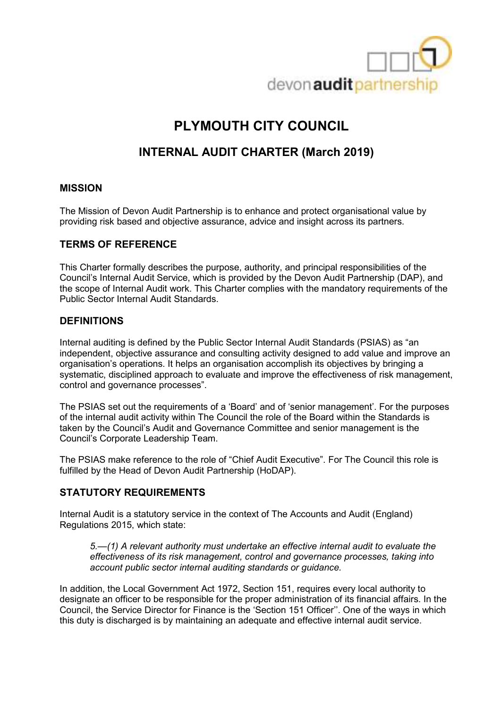

# **PLYMOUTH CITY COUNCIL**

## **INTERNAL AUDIT CHARTER (March 2019)**

## **MISSION**

The Mission of Devon Audit Partnership is to enhance and protect organisational value by providing risk based and objective assurance, advice and insight across its partners.

## **TERMS OF REFERENCE**

This Charter formally describes the purpose, authority, and principal responsibilities of the Council's Internal Audit Service, which is provided by the Devon Audit Partnership (DAP), and the scope of Internal Audit work. This Charter complies with the mandatory requirements of the Public Sector Internal Audit Standards.

## **DEFINITIONS**

Internal auditing is defined by the Public Sector Internal Audit Standards (PSIAS) as "an independent, objective assurance and consulting activity designed to add value and improve an organisation's operations. It helps an organisation accomplish its objectives by bringing a systematic, disciplined approach to evaluate and improve the effectiveness of risk management, control and governance processes".

The PSIAS set out the requirements of a 'Board' and of 'senior management'. For the purposes of the internal audit activity within The Council the role of the Board within the Standards is taken by the Council's Audit and Governance Committee and senior management is the Council's Corporate Leadership Team.

The PSIAS make reference to the role of "Chief Audit Executive". For The Council this role is fulfilled by the Head of Devon Audit Partnership (HoDAP).

#### **STATUTORY REQUIREMENTS**

Internal Audit is a statutory service in the context of The Accounts and Audit (England) Regulations 2015, which state:

*5.—(1) A relevant authority must undertake an effective internal audit to evaluate the effectiveness of its risk management, control and governance processes, taking into account public sector internal auditing standards or guidance.* 

In addition, the Local Government Act 1972, Section 151, requires every local authority to designate an officer to be responsible for the proper administration of its financial affairs. In the Council, the Service Director for Finance is the 'Section 151 Officer''. One of the ways in which this duty is discharged is by maintaining an adequate and effective internal audit service.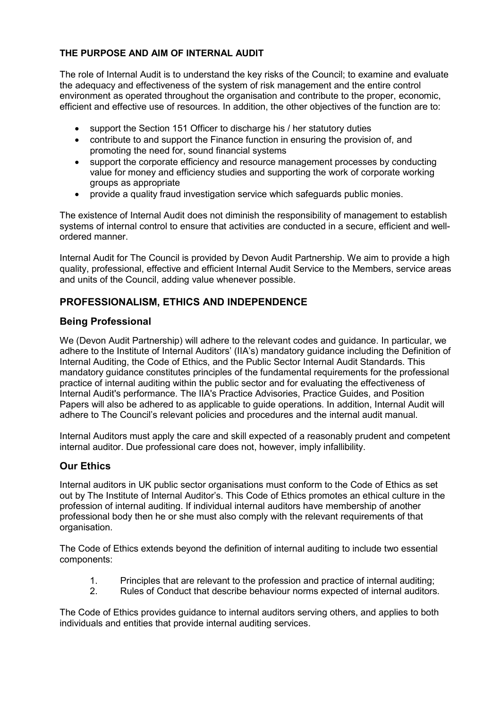#### **THE PURPOSE AND AIM OF INTERNAL AUDIT**

The role of Internal Audit is to understand the key risks of the Council; to examine and evaluate the adequacy and effectiveness of the system of risk management and the entire control environment as operated throughout the organisation and contribute to the proper, economic, efficient and effective use of resources. In addition, the other objectives of the function are to:

- support the Section 151 Officer to discharge his / her statutory duties
- contribute to and support the Finance function in ensuring the provision of, and promoting the need for, sound financial systems
- support the corporate efficiency and resource management processes by conducting value for money and efficiency studies and supporting the work of corporate working groups as appropriate
- provide a quality fraud investigation service which safeguards public monies.

The existence of Internal Audit does not diminish the responsibility of management to establish systems of internal control to ensure that activities are conducted in a secure, efficient and wellordered manner.

Internal Audit for The Council is provided by Devon Audit Partnership. We aim to provide a high quality, professional, effective and efficient Internal Audit Service to the Members, service areas and units of the Council, adding value whenever possible.

## **PROFESSIONALISM, ETHICS AND INDEPENDENCE**

#### **Being Professional**

We (Devon Audit Partnership) will adhere to the relevant codes and guidance. In particular, we adhere to the Institute of Internal Auditors' (IIA's) mandatory guidance including the Definition of Internal Auditing, the Code of Ethics, and the Public Sector Internal Audit Standards. This mandatory guidance constitutes principles of the fundamental requirements for the professional practice of internal auditing within the public sector and for evaluating the effectiveness of Internal Audit's performance. The IIA's Practice Advisories, Practice Guides, and Position Papers will also be adhered to as applicable to guide operations. In addition, Internal Audit will adhere to The Council's relevant policies and procedures and the internal audit manual.

Internal Auditors must apply the care and skill expected of a reasonably prudent and competent internal auditor. Due professional care does not, however, imply infallibility.

## **Our Ethics**

Internal auditors in UK public sector organisations must conform to the Code of Ethics as set out by The Institute of Internal Auditor's. This Code of Ethics promotes an ethical culture in the profession of internal auditing. If individual internal auditors have membership of another professional body then he or she must also comply with the relevant requirements of that organisation.

The Code of Ethics extends beyond the definition of internal auditing to include two essential components:

- 1. Principles that are relevant to the profession and practice of internal auditing;
- 2. Rules of Conduct that describe behaviour norms expected of internal auditors.

The Code of Ethics provides guidance to internal auditors serving others, and applies to both individuals and entities that provide internal auditing services.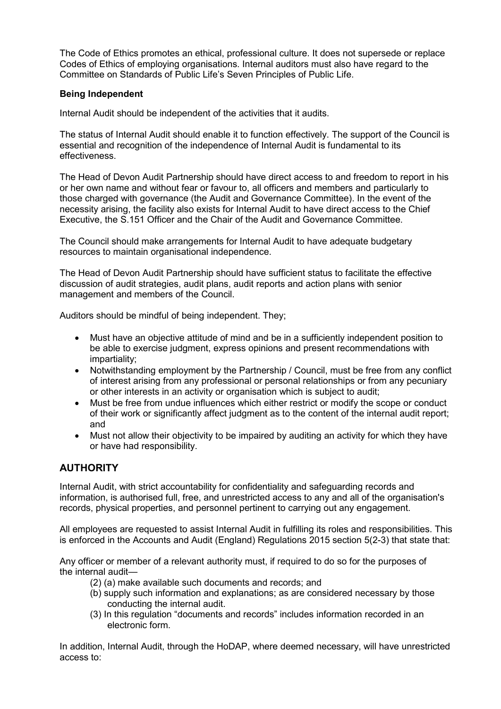The Code of Ethics promotes an ethical, professional culture. It does not supersede or replace Codes of Ethics of employing organisations. Internal auditors must also have regard to the Committee on Standards of Public Life's Seven Principles of Public Life.

#### **Being Independent**

Internal Audit should be independent of the activities that it audits.

The status of Internal Audit should enable it to function effectively. The support of the Council is essential and recognition of the independence of Internal Audit is fundamental to its effectiveness.

The Head of Devon Audit Partnership should have direct access to and freedom to report in his or her own name and without fear or favour to, all officers and members and particularly to those charged with governance (the Audit and Governance Committee). In the event of the necessity arising, the facility also exists for Internal Audit to have direct access to the Chief Executive, the S.151 Officer and the Chair of the Audit and Governance Committee.

The Council should make arrangements for Internal Audit to have adequate budgetary resources to maintain organisational independence.

The Head of Devon Audit Partnership should have sufficient status to facilitate the effective discussion of audit strategies, audit plans, audit reports and action plans with senior management and members of the Council.

Auditors should be mindful of being independent. They;

- Must have an objective attitude of mind and be in a sufficiently independent position to be able to exercise judgment, express opinions and present recommendations with impartiality;
- Notwithstanding employment by the Partnership / Council, must be free from any conflict of interest arising from any professional or personal relationships or from any pecuniary or other interests in an activity or organisation which is subject to audit;
- Must be free from undue influences which either restrict or modify the scope or conduct of their work or significantly affect judgment as to the content of the internal audit report; and
- Must not allow their objectivity to be impaired by auditing an activity for which they have or have had responsibility.

## **AUTHORITY**

Internal Audit, with strict accountability for confidentiality and safeguarding records and information, is authorised full, free, and unrestricted access to any and all of the organisation's records, physical properties, and personnel pertinent to carrying out any engagement.

All employees are requested to assist Internal Audit in fulfilling its roles and responsibilities. This is enforced in the Accounts and Audit (England) Regulations 2015 section 5(2-3) that state that:

Any officer or member of a relevant authority must, if required to do so for the purposes of the internal audit—

- (2) (a) make available such documents and records; and
- (b) supply such information and explanations; as are considered necessary by those conducting the internal audit.
- (3) In this regulation "documents and records" includes information recorded in an electronic form.

In addition, Internal Audit, through the HoDAP, where deemed necessary, will have unrestricted access to: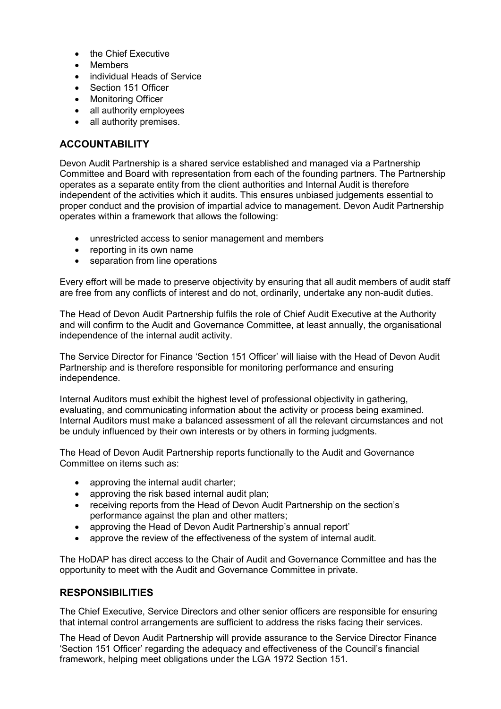- the Chief Executive
- Members
- individual Heads of Service
- Section 151 Officer
- Monitoring Officer
- all authority employees
- all authority premises.

#### **ACCOUNTABILITY**

Devon Audit Partnership is a shared service established and managed via a Partnership Committee and Board with representation from each of the founding partners. The Partnership operates as a separate entity from the client authorities and Internal Audit is therefore independent of the activities which it audits. This ensures unbiased judgements essential to proper conduct and the provision of impartial advice to management. Devon Audit Partnership operates within a framework that allows the following:

- unrestricted access to senior management and members
- reporting in its own name
- separation from line operations

Every effort will be made to preserve objectivity by ensuring that all audit members of audit staff are free from any conflicts of interest and do not, ordinarily, undertake any non-audit duties.

The Head of Devon Audit Partnership fulfils the role of Chief Audit Executive at the Authority and will confirm to the Audit and Governance Committee, at least annually, the organisational independence of the internal audit activity.

The Service Director for Finance 'Section 151 Officer' will liaise with the Head of Devon Audit Partnership and is therefore responsible for monitoring performance and ensuring independence.

Internal Auditors must exhibit the highest level of professional objectivity in gathering, evaluating, and communicating information about the activity or process being examined. Internal Auditors must make a balanced assessment of all the relevant circumstances and not be unduly influenced by their own interests or by others in forming judgments.

The Head of Devon Audit Partnership reports functionally to the Audit and Governance Committee on items such as:

- approving the internal audit charter;
- approving the risk based internal audit plan:
- receiving reports from the Head of Devon Audit Partnership on the section's performance against the plan and other matters;
- approving the Head of Devon Audit Partnership's annual report'
- approve the review of the effectiveness of the system of internal audit.

The HoDAP has direct access to the Chair of Audit and Governance Committee and has the opportunity to meet with the Audit and Governance Committee in private.

#### **RESPONSIBILITIES**

The Chief Executive, Service Directors and other senior officers are responsible for ensuring that internal control arrangements are sufficient to address the risks facing their services.

The Head of Devon Audit Partnership will provide assurance to the Service Director Finance 'Section 151 Officer' regarding the adequacy and effectiveness of the Council's financial framework, helping meet obligations under the LGA 1972 Section 151.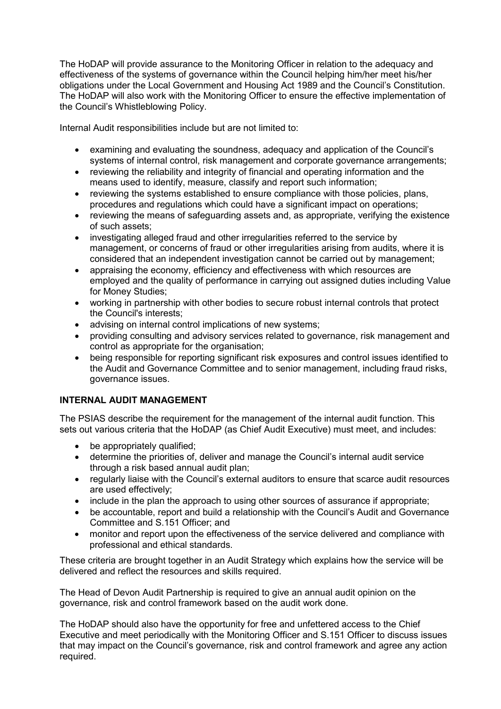The HoDAP will provide assurance to the Monitoring Officer in relation to the adequacy and effectiveness of the systems of governance within the Council helping him/her meet his/her obligations under the Local Government and Housing Act 1989 and the Council's Constitution. The HoDAP will also work with the Monitoring Officer to ensure the effective implementation of the Council's Whistleblowing Policy.

Internal Audit responsibilities include but are not limited to:

- examining and evaluating the soundness, adequacy and application of the Council's systems of internal control, risk management and corporate governance arrangements;
- reviewing the reliability and integrity of financial and operating information and the means used to identify, measure, classify and report such information;
- reviewing the systems established to ensure compliance with those policies, plans, procedures and regulations which could have a significant impact on operations;
- reviewing the means of safeguarding assets and, as appropriate, verifying the existence of such assets;
- investigating alleged fraud and other irregularities referred to the service by management, or concerns of fraud or other irregularities arising from audits, where it is considered that an independent investigation cannot be carried out by management;
- appraising the economy, efficiency and effectiveness with which resources are employed and the quality of performance in carrying out assigned duties including Value for Money Studies;
- working in partnership with other bodies to secure robust internal controls that protect the Council's interests;
- advising on internal control implications of new systems;
- providing consulting and advisory services related to governance, risk management and control as appropriate for the organisation;
- being responsible for reporting significant risk exposures and control issues identified to the Audit and Governance Committee and to senior management, including fraud risks, governance issues.

#### **INTERNAL AUDIT MANAGEMENT**

The PSIAS describe the requirement for the management of the internal audit function. This sets out various criteria that the HoDAP (as Chief Audit Executive) must meet, and includes:

- be appropriately qualified:
- determine the priorities of, deliver and manage the Council's internal audit service through a risk based annual audit plan;
- regularly liaise with the Council's external auditors to ensure that scarce audit resources are used effectively;
- include in the plan the approach to using other sources of assurance if appropriate:
- be accountable, report and build a relationship with the Council's Audit and Governance Committee and S.151 Officer; and
- monitor and report upon the effectiveness of the service delivered and compliance with professional and ethical standards.

These criteria are brought together in an Audit Strategy which explains how the service will be delivered and reflect the resources and skills required.

The Head of Devon Audit Partnership is required to give an annual audit opinion on the governance, risk and control framework based on the audit work done.

The HoDAP should also have the opportunity for free and unfettered access to the Chief Executive and meet periodically with the Monitoring Officer and S.151 Officer to discuss issues that may impact on the Council's governance, risk and control framework and agree any action required.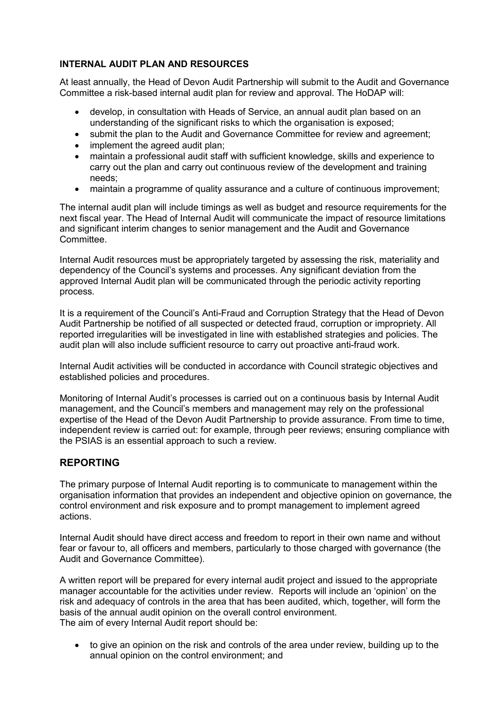## **INTERNAL AUDIT PLAN AND RESOURCES**

At least annually, the Head of Devon Audit Partnership will submit to the Audit and Governance Committee a risk-based internal audit plan for review and approval. The HoDAP will:

- develop, in consultation with Heads of Service, an annual audit plan based on an understanding of the significant risks to which the organisation is exposed;
- submit the plan to the Audit and Governance Committee for review and agreement;
- implement the agreed audit plan;
- maintain a professional audit staff with sufficient knowledge, skills and experience to carry out the plan and carry out continuous review of the development and training needs;
- maintain a programme of quality assurance and a culture of continuous improvement;

The internal audit plan will include timings as well as budget and resource requirements for the next fiscal year. The Head of Internal Audit will communicate the impact of resource limitations and significant interim changes to senior management and the Audit and Governance **Committee** 

Internal Audit resources must be appropriately targeted by assessing the risk, materiality and dependency of the Council's systems and processes. Any significant deviation from the approved Internal Audit plan will be communicated through the periodic activity reporting process.

It is a requirement of the Council's Anti-Fraud and Corruption Strategy that the Head of Devon Audit Partnership be notified of all suspected or detected fraud, corruption or impropriety. All reported irregularities will be investigated in line with established strategies and policies. The audit plan will also include sufficient resource to carry out proactive anti-fraud work.

Internal Audit activities will be conducted in accordance with Council strategic objectives and established policies and procedures.

Monitoring of Internal Audit's processes is carried out on a continuous basis by Internal Audit management, and the Council's members and management may rely on the professional expertise of the Head of the Devon Audit Partnership to provide assurance. From time to time, independent review is carried out: for example, through peer reviews; ensuring compliance with the PSIAS is an essential approach to such a review.

## **REPORTING**

The primary purpose of Internal Audit reporting is to communicate to management within the organisation information that provides an independent and objective opinion on governance, the control environment and risk exposure and to prompt management to implement agreed actions.

Internal Audit should have direct access and freedom to report in their own name and without fear or favour to, all officers and members, particularly to those charged with governance (the Audit and Governance Committee).

A written report will be prepared for every internal audit project and issued to the appropriate manager accountable for the activities under review. Reports will include an 'opinion' on the risk and adequacy of controls in the area that has been audited, which, together, will form the basis of the annual audit opinion on the overall control environment. The aim of every Internal Audit report should be:

• to give an opinion on the risk and controls of the area under review, building up to the annual opinion on the control environment; and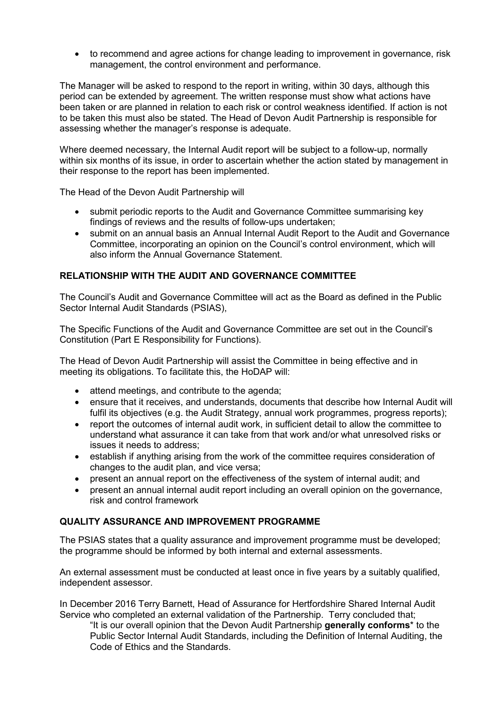• to recommend and agree actions for change leading to improvement in governance, risk management, the control environment and performance.

The Manager will be asked to respond to the report in writing, within 30 days, although this period can be extended by agreement. The written response must show what actions have been taken or are planned in relation to each risk or control weakness identified. If action is not to be taken this must also be stated. The Head of Devon Audit Partnership is responsible for assessing whether the manager's response is adequate.

Where deemed necessary, the Internal Audit report will be subject to a follow-up, normally within six months of its issue, in order to ascertain whether the action stated by management in their response to the report has been implemented.

The Head of the Devon Audit Partnership will

- submit periodic reports to the Audit and Governance Committee summarising key findings of reviews and the results of follow-ups undertaken;
- submit on an annual basis an Annual Internal Audit Report to the Audit and Governance Committee, incorporating an opinion on the Council's control environment, which will also inform the Annual Governance Statement.

#### **RELATIONSHIP WITH THE AUDIT AND GOVERNANCE COMMITTEE**

The Council's Audit and Governance Committee will act as the Board as defined in the Public Sector Internal Audit Standards (PSIAS),

The Specific Functions of the Audit and Governance Committee are set out in the Council's Constitution (Part E Responsibility for Functions).

The Head of Devon Audit Partnership will assist the Committee in being effective and in meeting its obligations. To facilitate this, the HoDAP will:

- attend meetings, and contribute to the agenda;
- ensure that it receives, and understands, documents that describe how Internal Audit will fulfil its objectives (e.g. the Audit Strategy, annual work programmes, progress reports);
- report the outcomes of internal audit work, in sufficient detail to allow the committee to understand what assurance it can take from that work and/or what unresolved risks or issues it needs to address;
- establish if anything arising from the work of the committee requires consideration of changes to the audit plan, and vice versa;
- present an annual report on the effectiveness of the system of internal audit; and
- present an annual internal audit report including an overall opinion on the governance, risk and control framework

#### **QUALITY ASSURANCE AND IMPROVEMENT PROGRAMME**

The PSIAS states that a quality assurance and improvement programme must be developed; the programme should be informed by both internal and external assessments.

An external assessment must be conducted at least once in five years by a suitably qualified, independent assessor.

In December 2016 Terry Barnett, Head of Assurance for Hertfordshire Shared Internal Audit Service who completed an external validation of the Partnership. Terry concluded that;

"It is our overall opinion that the Devon Audit Partnership **generally conforms**\* to the Public Sector Internal Audit Standards, including the Definition of Internal Auditing, the Code of Ethics and the Standards.